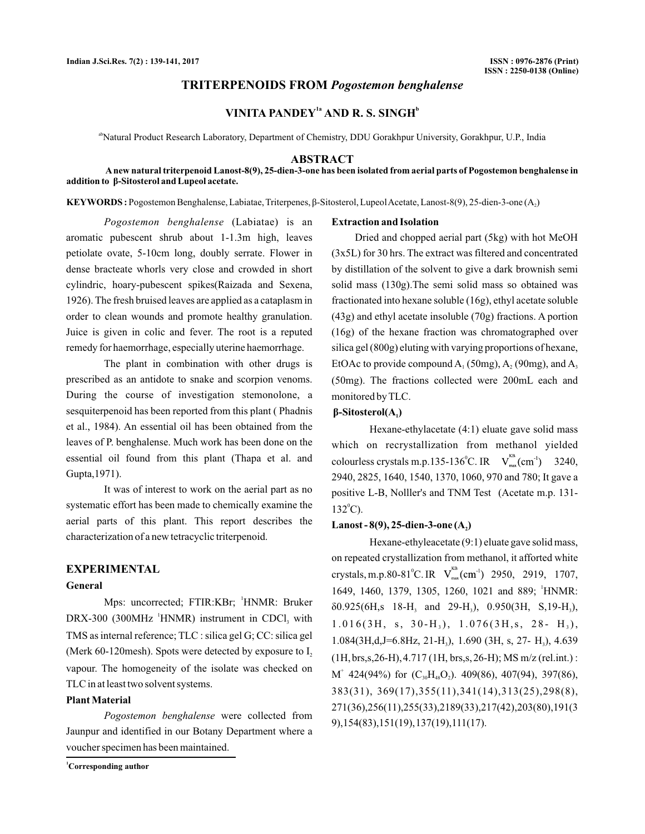## **TRITERPENOIDS FROM** *Pogostemon benghalense*

# **VINITA PANDEY<sup>1a</sup> AND R. S. SINGH<sup>b</sup>**

<sup>ab</sup>Natural Product Research Laboratory, Department of Chemistry, DDU Gorakhpur University, Gorakhpur, U.P., India

#### **ABSTRACT**

**Anew natural triterpenoid Lanost-8(9), 25-dien-3-one has been isolated from aerial parts of Pogostemon benghalense in addition to β-Sitosterol and Lupeol acetate.** 

**KEYWORDS :** Pogostemon Benghalense, Labiatae, Triterpenes, β-Sitosterol, Lupeol Acetate, Lanost-8(9), 25-dien-3-one (A<sub>2</sub>)

(Labiatae) is an *Pogostemon benghalense* aromatic pubescent shrub about 1-1.3m high, leaves petiolate ovate, 5-10cm long, doubly serrate. Flower in dense bracteate whorls very close and crowded in short cylindric, hoary-pubescent spikes(Raizada and Sexena, 1926). The fresh bruised leaves are applied as a cataplasm in order to clean wounds and promote healthy granulation. Juice is given in colic and fever. The root is a reputed remedy for haemorrhage, especially uterine haemorrhage.

The plant in combination with other drugs is prescribed as an antidote to snake and scorpion venoms. During the course of investigation stemonolone, a sesquiterpenoid has been reported from this plant ( Phadnis et al., 1984). An essential oil has been obtained from the leaves of P. benghalense. Much work has been done on the essential oil found from this plant (Thapa et al. and Gupta,1971).

It was of interest to work on the aerial part as no systematic effort has been made to chemically examine the aerial parts of this plant. This report describes the characterization of a new tetracyclic triterpenoid.

## **EXPERIMENTAL**

## **General**

Mps: uncorrected; FTIR:KBr; 'HNMR: Bruker  $DRX-300$  (300MHz  $^1$ HNMR) instrument in CDCl<sub>3</sub> with TMS as internal reference; TLC : silica gel G; CC: silica gel (Merk 60-120 mesh). Spots were detected by exposure to  $I_2$ vapour. The homogeneity of the isolate was checked on TLC in at least two solvent systems.

#### **Plant Material**

Pogostemon benghalense were collected from Jaunpur and identified in our Botany Department where a voucher specimen has been maintained.

**<sup>1</sup>Corresponding author**

#### **Extraction and Isolation**

Dried and chopped aerial part (5kg) with hot MeOH (3x5L) for 30 hrs. The extract was filtered and concentrated by distillation of the solvent to give a dark brownish semi solid mass (130g).The semi solid mass so obtained was fractionated into hexane soluble (16g), ethyl acetate soluble (43g) and ethyl acetate insoluble (70g) fractions. A portion (16g) of the hexane fraction was chromatographed over silica gel (800g) eluting with varying proportions of hexane, EtOAc to provide compound  $A_1$  (50mg),  $A_2$  (90mg), and  $A_3$ (50mg). The fractions collected were 200mL each and monitored by TLC.

### **β-Sitosterol(A**<sub>1</sub>)

Hexane-ethylacetate (4:1) eluate gave solid mass which on recrystallization from methanol yielded colourless crystals m.p.135-136<sup>o</sup>C. IR  $V_{max}^{b}$  (cm<sup>-1</sup>) 3240, 2940, 2825, 1640, 1540, 1370, 1060, 970 and 780; It gave a positive L-B, Nolller's and TNM Test (Acetate m.p. 131-  $132^{\circ}$ C).

### Lanost - 8(9), 25-dien-3-one (A<sub>2</sub>)

Hexane-ethyleacetate (9:1) eluate gave solid mass, on repeated crystallization from methanol, it afforted white crystals, m.p.80-81°C. IR  $V_{\text{max}}^{\text{max}}$  (cm<sup>-1</sup>) 2950, 2919, 1707, 1649, 1460, 1379, 1305, 1260, 1021 and 889; HNMR: 1  $\delta 0.925(6H,s$  18-H<sub>3</sub> and 29-H<sub>3</sub>), 0.950(3H, S,19-H<sub>3</sub>),  $1.016(3H, s, 30-H_3), 1.076(3H,s, 28-H_3),$ 1.084(3H,d,J=6.8Hz, 21-H<sub>3</sub>), 1.690 (3H, s, 27- H<sub>3</sub>), 4.639 (1H,brs,s,26-H),4.717 (1H, brs,s,26-H); MS m/z (rel.int.) :  $M^{\dagger}$  424(94%) for  $(C_{30}H_{48}O_2)$ . 409(86), 407(94), 397(86), 383(31), 369(17),355(11),341(14),313(25),298(8), 271(36),256(11),255(33),2189(33),217(42),203(80),191(3 9),154(83),151(19),137(19),111(17).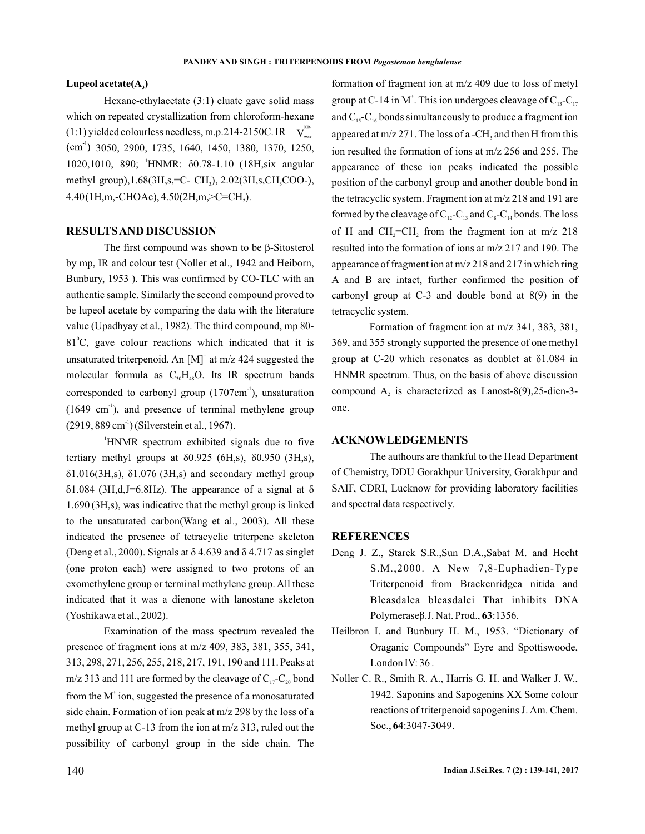### Lupeol acetate(A<sub>2</sub>)

Hexane-ethylacetate (3:1) eluate gave solid mass which on repeated crystallization from chloroform-hexane  $(1:1)$  yielded colourless needless, m.p.214-2150C. IR  $V_{\text{max}}^{\text{NS}}$ 3050, 2900, 1735, 1640, 1450, 1380, 1370, 1250, 1020,1010, 890; HNMR: δ0.78-1.10 (18H,six angular methyl group),1.68(3H,s,=C- CH<sub>3</sub>), 2.02(3H,s,CH<sub>3</sub>COO-), 4.40(1H,m,-CHOAc), 4.50(2H,m,>C=CH<sub>2</sub>).

## **RESULTSAND DISCUSSION**

The first compound was shown to be β-Sitosterol by mp, IR and colour test (Noller et al., 1942 and Heiborn, Bunbury, 1953 ). This was confirmed by CO-TLC with an authentic sample. Similarly the second compound proved to be lupeol acetate by comparing the data with the literature value (Upadhyay et al., 1982). The third compound, mp 80-  $81^{\circ}$ C, gave colour reactions which indicated that it is unsaturated triterpenoid. An  $[M]^{\dagger}$  at m/z 424 suggested the molecular formula as  $C_{30}H_{48}O$ . Its IR spectrum bands corresponded to carbonyl group  $(1707 \text{cm}^{-1})$ , unsaturation  $(1649 \text{ cm}^{-1})$ , and presence of terminal methylene group  $(2919, 889 \text{ cm}^{-1})$  (Silverstein et al., 1967).

 $1.690$  (3H,s), was indicative that the methyl group is linked to the unsaturated carbon(Wang et al., 2003). All these indicated the presence of tetracyclic triterpene skeleton (Deng et al., 2000). Signals at  $\delta$  4.639 and  $\delta$  4.717 as singlet (one proton each) were assigned to two protons of an exomethylene group or terminal methylene group. All these indicated that it was a dienone with lanostane skeleton (Yoshikawa et al., 2002). 1 HNMR spectrum exhibited signals due to five tertiary methyl groups at δ0.925 (6H,s), δ0.950 (3H,s), δ1.016(3H,s), δ1.076 (3H,s) and secondary methyl group  $\delta$ 1.084 (3H,d,J=6.8Hz). The appearance of a signal at  $\delta$ 

Examination of the mass spectrum revealed the presence of fragment ions at m/z 409, 383, 381, 355, 341, 313, 298, 271, 256, 255, 218, 217, 191, 190 and 111. Peaks at m/z 313 and 111 are formed by the cleavage of  $C_{17}$ - $C_{20}$  bond from the  $M^{\dagger}$  ion, suggested the presence of a monosaturated side chain. Formation of ion peak at m/z 298 by the loss of a methyl group at C-13 from the ion at m/z 313, ruled out the possibility of carbonyl group in the side chain. The formation of fragment ion at m/z 409 due to loss of metyl group at C-14 in M<sup>+</sup>. This ion undergoes cleavage of  $C_{13}$ -C<sub>17</sub> and  $C_{15}$ - $C_{16}$  bonds simultaneously to produce a fragment ion appeared at  $m/z 271$ . The loss of a -CH<sub>3</sub> and then H from this ion resulted the formation of ions at m/z 256 and 255. The appearance of these ion peaks indicated the possible position of the carbonyl group and another double bond in the tetracyclic system. Fragment ion at m/z 218 and 191 are formed by the cleavage of  $C_{12}$ - $C_{13}$  and  $C_{8}$ - $C_{14}$  bonds. The loss of H and  $CH_2=CH_2$  from the fragment ion at m/z 218 resulted into the formation of ions at m/z 217 and 190. The appearance of fragment ion at m/z 218 and 217 in which ring A and B are intact, further confirmed the position of carbonyl group at C-3 and double bond at 8(9) in the tetracyclic system.

Formation of fragment ion at m/z 341, 383, 381, 369, and 355 strongly supported the presence of one methyl group at C-20 which resonates as doublet at δ1.084 in <sup>1</sup>HNMR spectrum. Thus, on the basis of above discussion compound  $A_2$  is characterized as Lanost-8(9),25-dien-3one.

#### **ACKNOWLEDGEMENTS**

The authours are thankful to the Head Department of Chemistry, DDU Gorakhpur University, Gorakhpur and SAIF, CDRI, Lucknow for providing laboratory facilities and spectral data respectively.

#### **REFERENCES**

- Deng J. Z., Starck S.R.,Sun D.A.,Sabat M. and Hecht S.M.,2000. A New 7,8-Euphadien-Type Polymeraseβ.J. Nat. Prod., 63:1356. Triterpenoid from Brackenridgea nitida and Bleasdalea bleasdalei That inhibits DNA
- Heilbron I. and Bunbury H. M., 1953. "Dictionary of Oraganic Compounds" Eyre and Spottiswoode, London IV: 36.
- Noller C. R., Smith R. A., Harris G. H. and Walker J. W., 1942. Saponins and Sapogenins XX Some colour reactions of triterpenoid sapogenins J. Am. Chem. Soc., 64:3047-3049.